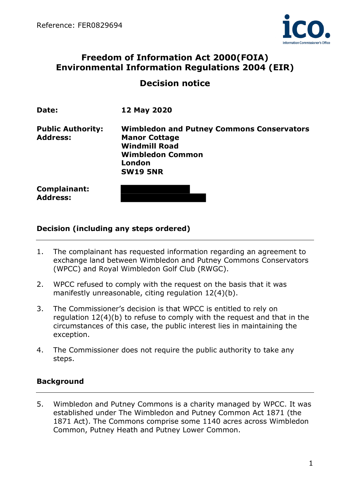

# Freedom of Information Act 2000(FOIA) Environmental Information Regulations 2004 (EIR)

# Decision notice

| Date:                                       | 12 May 2020                                                                                                                                              |
|---------------------------------------------|----------------------------------------------------------------------------------------------------------------------------------------------------------|
| <b>Public Authority:</b><br><b>Address:</b> | <b>Wimbledon and Putney Commons Conservators</b><br><b>Manor Cottage</b><br><b>Windmill Road</b><br><b>Wimbledon Common</b><br>London<br><b>SW19 5NR</b> |
| <b>Complainant:</b><br><b>Address:</b>      |                                                                                                                                                          |

### Decision (including any steps ordered)

- 1. The complainant has requested information regarding an agreement to exchange land between Wimbledon and Putney Commons Conservators (WPCC) and Royal Wimbledon Golf Club (RWGC).
- 2. WPCC refused to comply with the request on the basis that it was manifestly unreasonable, citing regulation 12(4)(b).
- 3. The Commissioner's decision is that WPCC is entitled to rely on regulation 12(4)(b) to refuse to comply with the request and that in the circumstances of this case, the public interest lies in maintaining the exception.
- 4. The Commissioner does not require the public authority to take any steps.

## **Background**

5. Wimbledon and Putney Commons is a charity managed by WPCC. It was established under The Wimbledon and Putney Common Act 1871 (the 1871 Act). The Commons comprise some 1140 acres across Wimbledon Common, Putney Heath and Putney Lower Common.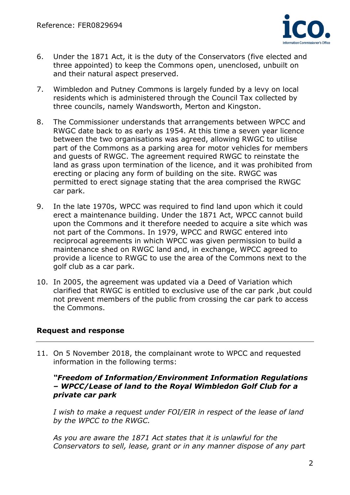

- 6. Under the 1871 Act, it is the duty of the Conservators (five elected and three appointed) to keep the Commons open, unenclosed, unbuilt on and their natural aspect preserved.
- 7. Wimbledon and Putney Commons is largely funded by a levy on local residents which is administered through the Council Tax collected by three councils, namely Wandsworth, Merton and Kingston.
- 8. The Commissioner understands that arrangements between WPCC and RWGC date back to as early as 1954. At this time a seven year licence between the two organisations was agreed, allowing RWGC to utilise part of the Commons as a parking area for motor vehicles for members and guests of RWGC. The agreement required RWGC to reinstate the land as grass upon termination of the licence, and it was prohibited from erecting or placing any form of building on the site. RWGC was permitted to erect signage stating that the area comprised the RWGC car park.
- 9. In the late 1970s, WPCC was required to find land upon which it could erect a maintenance building. Under the 1871 Act, WPCC cannot build upon the Commons and it therefore needed to acquire a site which was not part of the Commons. In 1979, WPCC and RWGC entered into reciprocal agreements in which WPCC was given permission to build a maintenance shed on RWGC land and, in exchange, WPCC agreed to provide a licence to RWGC to use the area of the Commons next to the golf club as a car park.
- 10. In 2005, the agreement was updated via a Deed of Variation which clarified that RWGC is entitled to exclusive use of the car park ,but could not prevent members of the public from crossing the car park to access the Commons.

### Request and response

11. On 5 November 2018, the complainant wrote to WPCC and requested information in the following terms:

#### "Freedom of Information/Environment Information Regulations – WPCC/Lease of land to the Royal Wimbledon Golf Club for a private car park

I wish to make a request under FOI/EIR in respect of the lease of land by the WPCC to the RWGC.

As you are aware the 1871 Act states that it is unlawful for the Conservators to sell, lease, grant or in any manner dispose of any part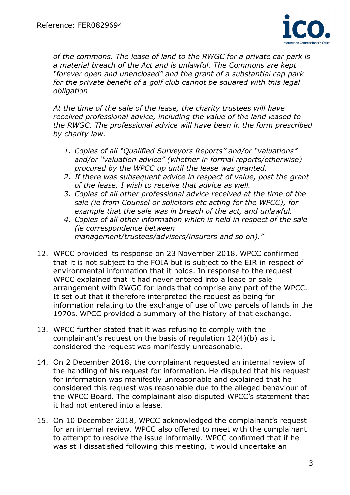

of the commons. The lease of land to the RWGC for a private car park is a material breach of the Act and is unlawful. The Commons are kept "forever open and unenclosed" and the grant of a substantial cap park for the private benefit of a golf club cannot be squared with this legal obligation

At the time of the sale of the lease, the charity trustees will have received professional advice, including the value of the land leased to the RWGC. The professional advice will have been in the form prescribed by charity law.

- 1. Copies of all "Qualified Surveyors Reports" and/or "valuations" and/or "valuation advice" (whether in formal reports/otherwise) procured by the WPCC up until the lease was granted.
- 2. If there was subsequent advice in respect of value, post the grant of the lease, I wish to receive that advice as well.
- 3. Copies of all other professional advice received at the time of the sale (ie from Counsel or solicitors etc acting for the WPCC), for example that the sale was in breach of the act, and unlawful.
- 4. Copies of all other information which is held in respect of the sale (ie correspondence between management/trustees/advisers/insurers and so on)."
- 12. WPCC provided its response on 23 November 2018. WPCC confirmed that it is not subject to the FOIA but is subject to the EIR in respect of environmental information that it holds. In response to the request WPCC explained that it had never entered into a lease or sale arrangement with RWGC for lands that comprise any part of the WPCC. It set out that it therefore interpreted the request as being for information relating to the exchange of use of two parcels of lands in the 1970s. WPCC provided a summary of the history of that exchange.
- 13. WPCC further stated that it was refusing to comply with the complainant's request on the basis of regulation 12(4)(b) as it considered the request was manifestly unreasonable.
- 14. On 2 December 2018, the complainant requested an internal review of the handling of his request for information. He disputed that his request for information was manifestly unreasonable and explained that he considered this request was reasonable due to the alleged behaviour of the WPCC Board. The complainant also disputed WPCC's statement that it had not entered into a lease.
- 15. On 10 December 2018, WPCC acknowledged the complainant's request for an internal review. WPCC also offered to meet with the complainant to attempt to resolve the issue informally. WPCC confirmed that if he was still dissatisfied following this meeting, it would undertake an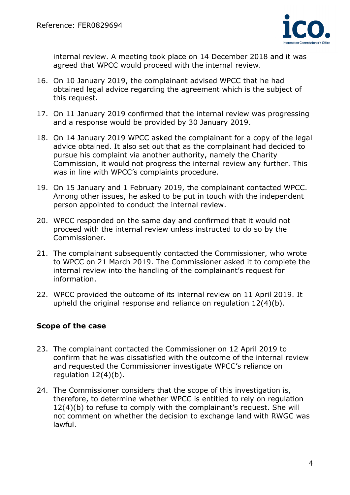

internal review. A meeting took place on 14 December 2018 and it was agreed that WPCC would proceed with the internal review.

- 16. On 10 January 2019, the complainant advised WPCC that he had obtained legal advice regarding the agreement which is the subject of this request.
- 17. On 11 January 2019 confirmed that the internal review was progressing and a response would be provided by 30 January 2019.
- 18. On 14 January 2019 WPCC asked the complainant for a copy of the legal advice obtained. It also set out that as the complainant had decided to pursue his complaint via another authority, namely the Charity Commission, it would not progress the internal review any further. This was in line with WPCC's complaints procedure.
- 19. On 15 January and 1 February 2019, the complainant contacted WPCC. Among other issues, he asked to be put in touch with the independent person appointed to conduct the internal review.
- 20. WPCC responded on the same day and confirmed that it would not proceed with the internal review unless instructed to do so by the Commissioner.
- 21. The complainant subsequently contacted the Commissioner, who wrote to WPCC on 21 March 2019. The Commissioner asked it to complete the internal review into the handling of the complainant's request for information.
- 22. WPCC provided the outcome of its internal review on 11 April 2019. It upheld the original response and reliance on regulation 12(4)(b).

## Scope of the case

- 23. The complainant contacted the Commissioner on 12 April 2019 to confirm that he was dissatisfied with the outcome of the internal review and requested the Commissioner investigate WPCC's reliance on regulation 12(4)(b).
- 24. The Commissioner considers that the scope of this investigation is, therefore, to determine whether WPCC is entitled to rely on regulation 12(4)(b) to refuse to comply with the complainant's request. She will not comment on whether the decision to exchange land with RWGC was lawful.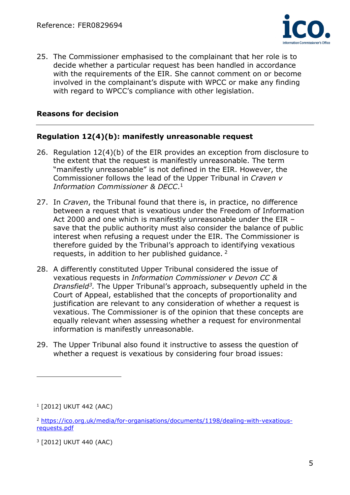

25. The Commissioner emphasised to the complainant that her role is to decide whether a particular request has been handled in accordance with the requirements of the EIR. She cannot comment on or become involved in the complainant's dispute with WPCC or make any finding with regard to WPCC's compliance with other legislation.

## Reasons for decision

### Regulation 12(4)(b): manifestly unreasonable request

- 26. Regulation 12(4)(b) of the EIR provides an exception from disclosure to the extent that the request is manifestly unreasonable. The term "manifestly unreasonable" is not defined in the EIR. However, the Commissioner follows the lead of the Upper Tribunal in Craven v Information Commissioner & DECC. 1
- 27. In Craven, the Tribunal found that there is, in practice, no difference between a request that is vexatious under the Freedom of Information Act 2000 and one which is manifestly unreasonable under the EIR – save that the public authority must also consider the balance of public interest when refusing a request under the EIR. The Commissioner is therefore guided by the Tribunal's approach to identifying vexatious requests, in addition to her published guidance.  $2^{\circ}$
- 28. A differently constituted Upper Tribunal considered the issue of vexatious requests in Information Commissioner v Devon CC & Dransfield<sup>3</sup>. The Upper Tribunal's approach, subsequently upheld in the Court of Appeal, established that the concepts of proportionality and justification are relevant to any consideration of whether a request is vexatious. The Commissioner is of the opinion that these concepts are equally relevant when assessing whether a request for environmental information is manifestly unreasonable.
- 29. The Upper Tribunal also found it instructive to assess the question of whether a request is vexatious by considering four broad issues:

<sup>1</sup> [2012] UKUT 442 (AAC)

<sup>2</sup> https://ico.org.uk/media/for-organisations/documents/1198/dealing-with-vexatiousrequests.pdf

<sup>3</sup> [2012] UKUT 440 (AAC)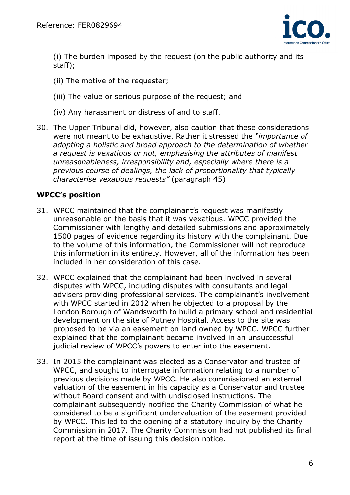

(i) The burden imposed by the request (on the public authority and its staff);

- (ii) The motive of the requester;
- (iii) The value or serious purpose of the request; and
- (iv) Any harassment or distress of and to staff.
- 30. The Upper Tribunal did, however, also caution that these considerations were not meant to be exhaustive. Rather it stressed the "importance of adopting a holistic and broad approach to the determination of whether a request is vexatious or not, emphasising the attributes of manifest unreasonableness, irresponsibility and, especially where there is a previous course of dealings, the lack of proportionality that typically characterise vexatious requests" (paragraph 45)

## WPCC's position

- 31. WPCC maintained that the complainant's request was manifestly unreasonable on the basis that it was vexatious. WPCC provided the Commissioner with lengthy and detailed submissions and approximately 1500 pages of evidence regarding its history with the complainant. Due to the volume of this information, the Commissioner will not reproduce this information in its entirety. However, all of the information has been included in her consideration of this case.
- 32. WPCC explained that the complainant had been involved in several disputes with WPCC, including disputes with consultants and legal advisers providing professional services. The complainant's involvement with WPCC started in 2012 when he objected to a proposal by the London Borough of Wandsworth to build a primary school and residential development on the site of Putney Hospital. Access to the site was proposed to be via an easement on land owned by WPCC. WPCC further explained that the complainant became involved in an unsuccessful judicial review of WPCC's powers to enter into the easement.
- 33. In 2015 the complainant was elected as a Conservator and trustee of WPCC, and sought to interrogate information relating to a number of previous decisions made by WPCC. He also commissioned an external valuation of the easement in his capacity as a Conservator and trustee without Board consent and with undisclosed instructions. The complainant subsequently notified the Charity Commission of what he considered to be a significant undervaluation of the easement provided by WPCC. This led to the opening of a statutory inquiry by the Charity Commission in 2017. The Charity Commission had not published its final report at the time of issuing this decision notice.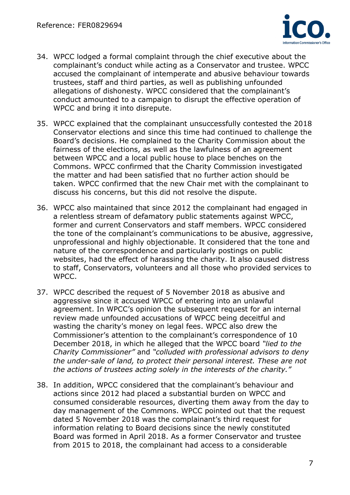

- 34. WPCC lodged a formal complaint through the chief executive about the complainant's conduct while acting as a Conservator and trustee. WPCC accused the complainant of intemperate and abusive behaviour towards trustees, staff and third parties, as well as publishing unfounded allegations of dishonesty. WPCC considered that the complainant's conduct amounted to a campaign to disrupt the effective operation of WPCC and bring it into disrepute.
- 35. WPCC explained that the complainant unsuccessfully contested the 2018 Conservator elections and since this time had continued to challenge the Board's decisions. He complained to the Charity Commission about the fairness of the elections, as well as the lawfulness of an agreement between WPCC and a local public house to place benches on the Commons. WPCC confirmed that the Charity Commission investigated the matter and had been satisfied that no further action should be taken. WPCC confirmed that the new Chair met with the complainant to discuss his concerns, but this did not resolve the dispute.
- 36. WPCC also maintained that since 2012 the complainant had engaged in a relentless stream of defamatory public statements against WPCC, former and current Conservators and staff members. WPCC considered the tone of the complainant's communications to be abusive, aggressive, unprofessional and highly objectionable. It considered that the tone and nature of the correspondence and particularly postings on public websites, had the effect of harassing the charity. It also caused distress to staff, Conservators, volunteers and all those who provided services to WPCC.
- 37. WPCC described the request of 5 November 2018 as abusive and aggressive since it accused WPCC of entering into an unlawful agreement. In WPCC's opinion the subsequent request for an internal review made unfounded accusations of WPCC being deceitful and wasting the charity's money on legal fees. WPCC also drew the Commissioner's attention to the complainant's correspondence of 10 December 2018, in which he alleged that the WPCC board "lied to the Charity Commissioner" and "colluded with professional advisors to deny the under-sale of land, to protect their personal interest. These are not the actions of trustees acting solely in the interests of the charity."
- 38. In addition, WPCC considered that the complainant's behaviour and actions since 2012 had placed a substantial burden on WPCC and consumed considerable resources, diverting them away from the day to day management of the Commons. WPCC pointed out that the request dated 5 November 2018 was the complainant's third request for information relating to Board decisions since the newly constituted Board was formed in April 2018. As a former Conservator and trustee from 2015 to 2018, the complainant had access to a considerable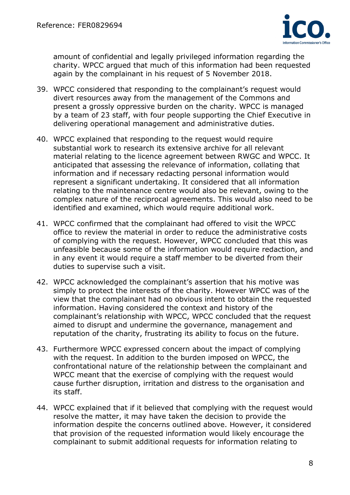

amount of confidential and legally privileged information regarding the charity. WPCC argued that much of this information had been requested again by the complainant in his request of 5 November 2018.

- 39. WPCC considered that responding to the complainant's request would divert resources away from the management of the Commons and present a grossly oppressive burden on the charity. WPCC is managed by a team of 23 staff, with four people supporting the Chief Executive in delivering operational management and administrative duties.
- 40. WPCC explained that responding to the request would require substantial work to research its extensive archive for all relevant material relating to the licence agreement between RWGC and WPCC. It anticipated that assessing the relevance of information, collating that information and if necessary redacting personal information would represent a significant undertaking. It considered that all information relating to the maintenance centre would also be relevant, owing to the complex nature of the reciprocal agreements. This would also need to be identified and examined, which would require additional work.
- 41. WPCC confirmed that the complainant had offered to visit the WPCC office to review the material in order to reduce the administrative costs of complying with the request. However, WPCC concluded that this was unfeasible because some of the information would require redaction, and in any event it would require a staff member to be diverted from their duties to supervise such a visit.
- 42. WPCC acknowledged the complainant's assertion that his motive was simply to protect the interests of the charity. However WPCC was of the view that the complainant had no obvious intent to obtain the requested information. Having considered the context and history of the complainant's relationship with WPCC, WPCC concluded that the request aimed to disrupt and undermine the governance, management and reputation of the charity, frustrating its ability to focus on the future.
- 43. Furthermore WPCC expressed concern about the impact of complying with the request. In addition to the burden imposed on WPCC, the confrontational nature of the relationship between the complainant and WPCC meant that the exercise of complying with the request would cause further disruption, irritation and distress to the organisation and its staff.
- 44. WPCC explained that if it believed that complying with the request would resolve the matter, it may have taken the decision to provide the information despite the concerns outlined above. However, it considered that provision of the requested information would likely encourage the complainant to submit additional requests for information relating to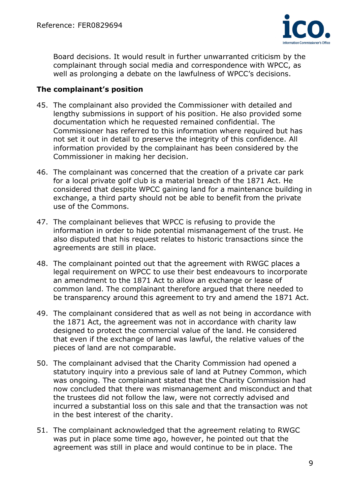

Board decisions. It would result in further unwarranted criticism by the complainant through social media and correspondence with WPCC, as well as prolonging a debate on the lawfulness of WPCC's decisions.

### The complainant's position

- 45. The complainant also provided the Commissioner with detailed and lengthy submissions in support of his position. He also provided some documentation which he requested remained confidential. The Commissioner has referred to this information where required but has not set it out in detail to preserve the integrity of this confidence. All information provided by the complainant has been considered by the Commissioner in making her decision.
- 46. The complainant was concerned that the creation of a private car park for a local private golf club is a material breach of the 1871 Act. He considered that despite WPCC gaining land for a maintenance building in exchange, a third party should not be able to benefit from the private use of the Commons.
- 47. The complainant believes that WPCC is refusing to provide the information in order to hide potential mismanagement of the trust. He also disputed that his request relates to historic transactions since the agreements are still in place.
- 48. The complainant pointed out that the agreement with RWGC places a legal requirement on WPCC to use their best endeavours to incorporate an amendment to the 1871 Act to allow an exchange or lease of common land. The complainant therefore argued that there needed to be transparency around this agreement to try and amend the 1871 Act.
- 49. The complainant considered that as well as not being in accordance with the 1871 Act, the agreement was not in accordance with charity law designed to protect the commercial value of the land. He considered that even if the exchange of land was lawful, the relative values of the pieces of land are not comparable.
- 50. The complainant advised that the Charity Commission had opened a statutory inquiry into a previous sale of land at Putney Common, which was ongoing. The complainant stated that the Charity Commission had now concluded that there was mismanagement and misconduct and that the trustees did not follow the law, were not correctly advised and incurred a substantial loss on this sale and that the transaction was not in the best interest of the charity.
- 51. The complainant acknowledged that the agreement relating to RWGC was put in place some time ago, however, he pointed out that the agreement was still in place and would continue to be in place. The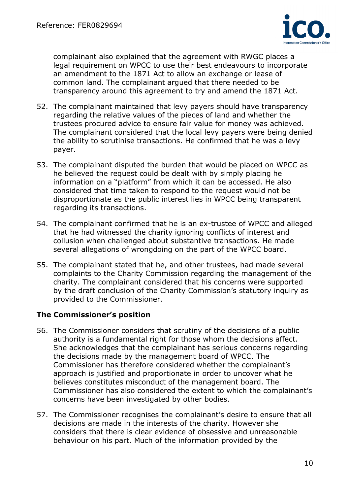

complainant also explained that the agreement with RWGC places a legal requirement on WPCC to use their best endeavours to incorporate an amendment to the 1871 Act to allow an exchange or lease of common land. The complainant argued that there needed to be transparency around this agreement to try and amend the 1871 Act.

- 52. The complainant maintained that levy payers should have transparency regarding the relative values of the pieces of land and whether the trustees procured advice to ensure fair value for money was achieved. The complainant considered that the local levy payers were being denied the ability to scrutinise transactions. He confirmed that he was a levy payer.
- 53. The complainant disputed the burden that would be placed on WPCC as he believed the request could be dealt with by simply placing he information on a "platform" from which it can be accessed. He also considered that time taken to respond to the request would not be disproportionate as the public interest lies in WPCC being transparent regarding its transactions.
- 54. The complainant confirmed that he is an ex-trustee of WPCC and alleged that he had witnessed the charity ignoring conflicts of interest and collusion when challenged about substantive transactions. He made several allegations of wrongdoing on the part of the WPCC board.
- 55. The complainant stated that he, and other trustees, had made several complaints to the Charity Commission regarding the management of the charity. The complainant considered that his concerns were supported by the draft conclusion of the Charity Commission's statutory inquiry as provided to the Commissioner.

## The Commissioner's position

- 56. The Commissioner considers that scrutiny of the decisions of a public authority is a fundamental right for those whom the decisions affect. She acknowledges that the complainant has serious concerns regarding the decisions made by the management board of WPCC. The Commissioner has therefore considered whether the complainant's approach is justified and proportionate in order to uncover what he believes constitutes misconduct of the management board. The Commissioner has also considered the extent to which the complainant's concerns have been investigated by other bodies.
- 57. The Commissioner recognises the complainant's desire to ensure that all decisions are made in the interests of the charity. However she considers that there is clear evidence of obsessive and unreasonable behaviour on his part. Much of the information provided by the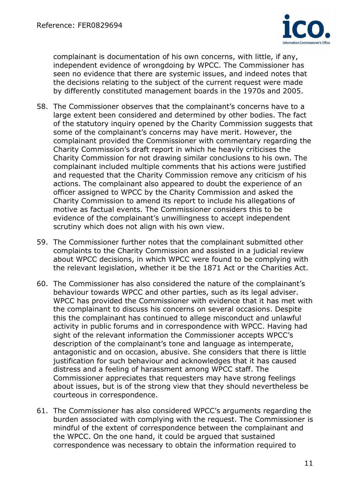

complainant is documentation of his own concerns, with little, if any, independent evidence of wrongdoing by WPCC. The Commissioner has seen no evidence that there are systemic issues, and indeed notes that the decisions relating to the subject of the current request were made by differently constituted management boards in the 1970s and 2005.

- 58. The Commissioner observes that the complainant's concerns have to a large extent been considered and determined by other bodies. The fact of the statutory inquiry opened by the Charity Commission suggests that some of the complainant's concerns may have merit. However, the complainant provided the Commissioner with commentary regarding the Charity Commission's draft report in which he heavily criticises the Charity Commission for not drawing similar conclusions to his own. The complainant included multiple comments that his actions were justified and requested that the Charity Commission remove any criticism of his actions. The complainant also appeared to doubt the experience of an officer assigned to WPCC by the Charity Commission and asked the Charity Commission to amend its report to include his allegations of motive as factual events. The Commissioner considers this to be evidence of the complainant's unwillingness to accept independent scrutiny which does not align with his own view.
- 59. The Commissioner further notes that the complainant submitted other complaints to the Charity Commission and assisted in a judicial review about WPCC decisions, in which WPCC were found to be complying with the relevant legislation, whether it be the 1871 Act or the Charities Act.
- 60. The Commissioner has also considered the nature of the complainant's behaviour towards WPCC and other parties, such as its legal adviser. WPCC has provided the Commissioner with evidence that it has met with the complainant to discuss his concerns on several occasions. Despite this the complainant has continued to allege misconduct and unlawful activity in public forums and in correspondence with WPCC. Having had sight of the relevant information the Commissioner accepts WPCC's description of the complainant's tone and language as intemperate, antagonistic and on occasion, abusive. She considers that there is little justification for such behaviour and acknowledges that it has caused distress and a feeling of harassment among WPCC staff. The Commissioner appreciates that requesters may have strong feelings about issues, but is of the strong view that they should nevertheless be courteous in correspondence.
- 61. The Commissioner has also considered WPCC's arguments regarding the burden associated with complying with the request. The Commissioner is mindful of the extent of correspondence between the complainant and the WPCC. On the one hand, it could be argued that sustained correspondence was necessary to obtain the information required to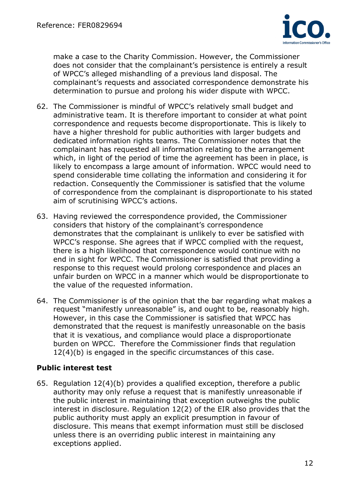

make a case to the Charity Commission. However, the Commissioner does not consider that the complainant's persistence is entirely a result of WPCC's alleged mishandling of a previous land disposal. The complainant's requests and associated correspondence demonstrate his determination to pursue and prolong his wider dispute with WPCC.

- 62. The Commissioner is mindful of WPCC's relatively small budget and administrative team. It is therefore important to consider at what point correspondence and requests become disproportionate. This is likely to have a higher threshold for public authorities with larger budgets and dedicated information rights teams. The Commissioner notes that the complainant has requested all information relating to the arrangement which, in light of the period of time the agreement has been in place, is likely to encompass a large amount of information. WPCC would need to spend considerable time collating the information and considering it for redaction. Consequently the Commissioner is satisfied that the volume of correspondence from the complainant is disproportionate to his stated aim of scrutinising WPCC's actions.
- 63. Having reviewed the correspondence provided, the Commissioner considers that history of the complainant's correspondence demonstrates that the complainant is unlikely to ever be satisfied with WPCC's response. She agrees that if WPCC complied with the request, there is a high likelihood that correspondence would continue with no end in sight for WPCC. The Commissioner is satisfied that providing a response to this request would prolong correspondence and places an unfair burden on WPCC in a manner which would be disproportionate to the value of the requested information.
- 64. The Commissioner is of the opinion that the bar regarding what makes a request "manifestly unreasonable" is, and ought to be, reasonably high. However, in this case the Commissioner is satisfied that WPCC has demonstrated that the request is manifestly unreasonable on the basis that it is vexatious, and compliance would place a disproportionate burden on WPCC. Therefore the Commissioner finds that regulation 12(4)(b) is engaged in the specific circumstances of this case.

## Public interest test

65. Regulation 12(4)(b) provides a qualified exception, therefore a public authority may only refuse a request that is manifestly unreasonable if the public interest in maintaining that exception outweighs the public interest in disclosure. Regulation 12(2) of the EIR also provides that the public authority must apply an explicit presumption in favour of disclosure. This means that exempt information must still be disclosed unless there is an overriding public interest in maintaining any exceptions applied.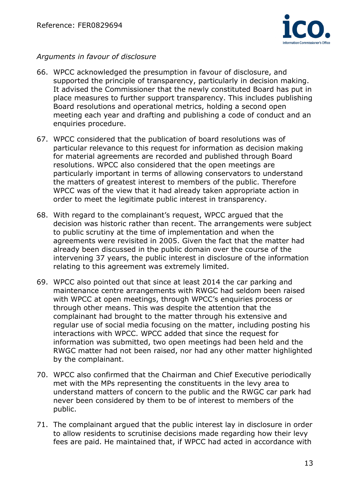

## Arguments in favour of disclosure

- 66. WPCC acknowledged the presumption in favour of disclosure, and supported the principle of transparency, particularly in decision making. It advised the Commissioner that the newly constituted Board has put in place measures to further support transparency. This includes publishing Board resolutions and operational metrics, holding a second open meeting each year and drafting and publishing a code of conduct and an enquiries procedure.
- 67. WPCC considered that the publication of board resolutions was of particular relevance to this request for information as decision making for material agreements are recorded and published through Board resolutions. WPCC also considered that the open meetings are particularly important in terms of allowing conservators to understand the matters of greatest interest to members of the public. Therefore WPCC was of the view that it had already taken appropriate action in order to meet the legitimate public interest in transparency.
- 68. With regard to the complainant's request, WPCC argued that the decision was historic rather than recent. The arrangements were subject to public scrutiny at the time of implementation and when the agreements were revisited in 2005. Given the fact that the matter had already been discussed in the public domain over the course of the intervening 37 years, the public interest in disclosure of the information relating to this agreement was extremely limited.
- 69. WPCC also pointed out that since at least 2014 the car parking and maintenance centre arrangements with RWGC had seldom been raised with WPCC at open meetings, through WPCC's enquiries process or through other means. This was despite the attention that the complainant had brought to the matter through his extensive and regular use of social media focusing on the matter, including posting his interactions with WPCC. WPCC added that since the request for information was submitted, two open meetings had been held and the RWGC matter had not been raised, nor had any other matter highlighted by the complainant.
- 70. WPCC also confirmed that the Chairman and Chief Executive periodically met with the MPs representing the constituents in the levy area to understand matters of concern to the public and the RWGC car park had never been considered by them to be of interest to members of the public.
- 71. The complainant argued that the public interest lay in disclosure in order to allow residents to scrutinise decisions made regarding how their levy fees are paid. He maintained that, if WPCC had acted in accordance with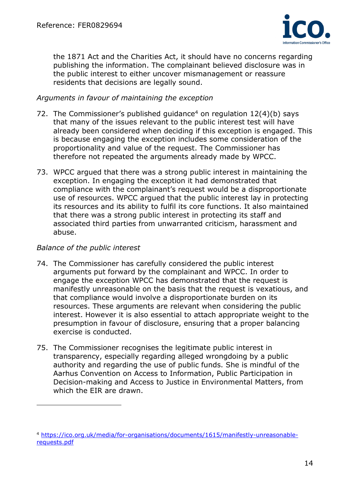

the 1871 Act and the Charities Act, it should have no concerns regarding publishing the information. The complainant believed disclosure was in the public interest to either uncover mismanagement or reassure residents that decisions are legally sound.

### Arguments in favour of maintaining the exception

- 72. The Commissioner's published guidance<sup>4</sup> on regulation  $12(4)(b)$  says that many of the issues relevant to the public interest test will have already been considered when deciding if this exception is engaged. This is because engaging the exception includes some consideration of the proportionality and value of the request. The Commissioner has therefore not repeated the arguments already made by WPCC.
- 73. WPCC argued that there was a strong public interest in maintaining the exception. In engaging the exception it had demonstrated that compliance with the complainant's request would be a disproportionate use of resources. WPCC argued that the public interest lay in protecting its resources and its ability to fulfil its core functions. It also maintained that there was a strong public interest in protecting its staff and associated third parties from unwarranted criticism, harassment and abuse.

#### Balance of the public interest

- 74. The Commissioner has carefully considered the public interest arguments put forward by the complainant and WPCC. In order to engage the exception WPCC has demonstrated that the request is manifestly unreasonable on the basis that the request is vexatious, and that compliance would involve a disproportionate burden on its resources. These arguments are relevant when considering the public interest. However it is also essential to attach appropriate weight to the presumption in favour of disclosure, ensuring that a proper balancing exercise is conducted.
- 75. The Commissioner recognises the legitimate public interest in transparency, especially regarding alleged wrongdoing by a public authority and regarding the use of public funds. She is mindful of the Aarhus Convention on Access to Information, Public Participation in Decision-making and Access to Justice in Environmental Matters, from which the EIR are drawn.

<sup>4</sup> https://ico.org.uk/media/for-organisations/documents/1615/manifestly-unreasonablerequests.pdf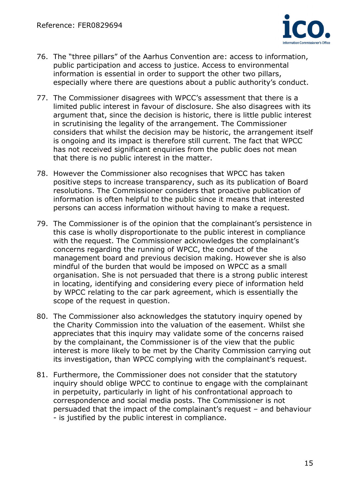

- 76. The "three pillars" of the Aarhus Convention are: access to information, public participation and access to justice. Access to environmental information is essential in order to support the other two pillars, especially where there are questions about a public authority's conduct.
- 77. The Commissioner disagrees with WPCC's assessment that there is a limited public interest in favour of disclosure. She also disagrees with its argument that, since the decision is historic, there is little public interest in scrutinising the legality of the arrangement. The Commissioner considers that whilst the decision may be historic, the arrangement itself is ongoing and its impact is therefore still current. The fact that WPCC has not received significant enquiries from the public does not mean that there is no public interest in the matter.
- 78. However the Commissioner also recognises that WPCC has taken positive steps to increase transparency, such as its publication of Board resolutions. The Commissioner considers that proactive publication of information is often helpful to the public since it means that interested persons can access information without having to make a request.
- 79. The Commissioner is of the opinion that the complainant's persistence in this case is wholly disproportionate to the public interest in compliance with the request. The Commissioner acknowledges the complainant's concerns regarding the running of WPCC, the conduct of the management board and previous decision making. However she is also mindful of the burden that would be imposed on WPCC as a small organisation. She is not persuaded that there is a strong public interest in locating, identifying and considering every piece of information held by WPCC relating to the car park agreement, which is essentially the scope of the request in question.
- 80. The Commissioner also acknowledges the statutory inquiry opened by the Charity Commission into the valuation of the easement. Whilst she appreciates that this inquiry may validate some of the concerns raised by the complainant, the Commissioner is of the view that the public interest is more likely to be met by the Charity Commission carrying out its investigation, than WPCC complying with the complainant's request.
- 81. Furthermore, the Commissioner does not consider that the statutory inquiry should oblige WPCC to continue to engage with the complainant in perpetuity, particularly in light of his confrontational approach to correspondence and social media posts. The Commissioner is not persuaded that the impact of the complainant's request – and behaviour - is justified by the public interest in compliance.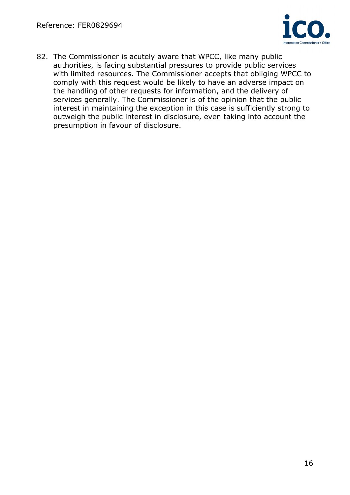

82. The Commissioner is acutely aware that WPCC, like many public authorities, is facing substantial pressures to provide public services with limited resources. The Commissioner accepts that obliging WPCC to comply with this request would be likely to have an adverse impact on the handling of other requests for information, and the delivery of services generally. The Commissioner is of the opinion that the public interest in maintaining the exception in this case is sufficiently strong to outweigh the public interest in disclosure, even taking into account the presumption in favour of disclosure.